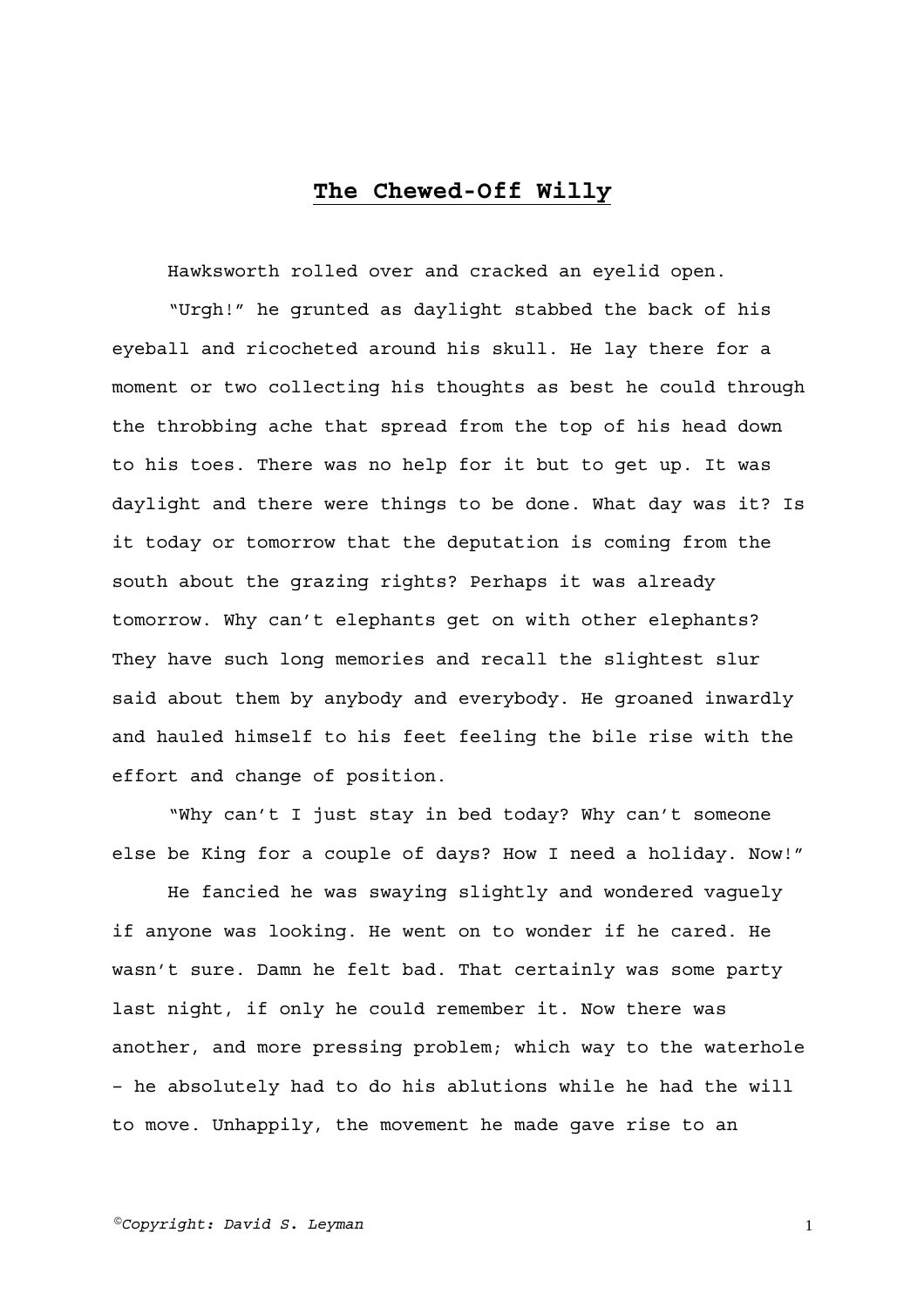## **The Chewed-Off Willy**

Hawksworth rolled over and cracked an eyelid open.

"Urgh!" he grunted as daylight stabbed the back of his eyeball and ricocheted around his skull. He lay there for a moment or two collecting his thoughts as best he could through the throbbing ache that spread from the top of his head down to his toes. There was no help for it but to get up. It was daylight and there were things to be done. What day was it? Is it today or tomorrow that the deputation is coming from the south about the grazing rights? Perhaps it was already tomorrow. Why can't elephants get on with other elephants? They have such long memories and recall the slightest slur said about them by anybody and everybody. He groaned inwardly and hauled himself to his feet feeling the bile rise with the effort and change of position.

"Why can't I just stay in bed today? Why can't someone else be King for a couple of days? How I need a holiday. Now!"

He fancied he was swaying slightly and wondered vaguely if anyone was looking. He went on to wonder if he cared. He wasn't sure. Damn he felt bad. That certainly was some party last night, if only he could remember it. Now there was another, and more pressing problem; which way to the waterhole – he absolutely had to do his ablutions while he had the will to move. Unhappily, the movement he made gave rise to an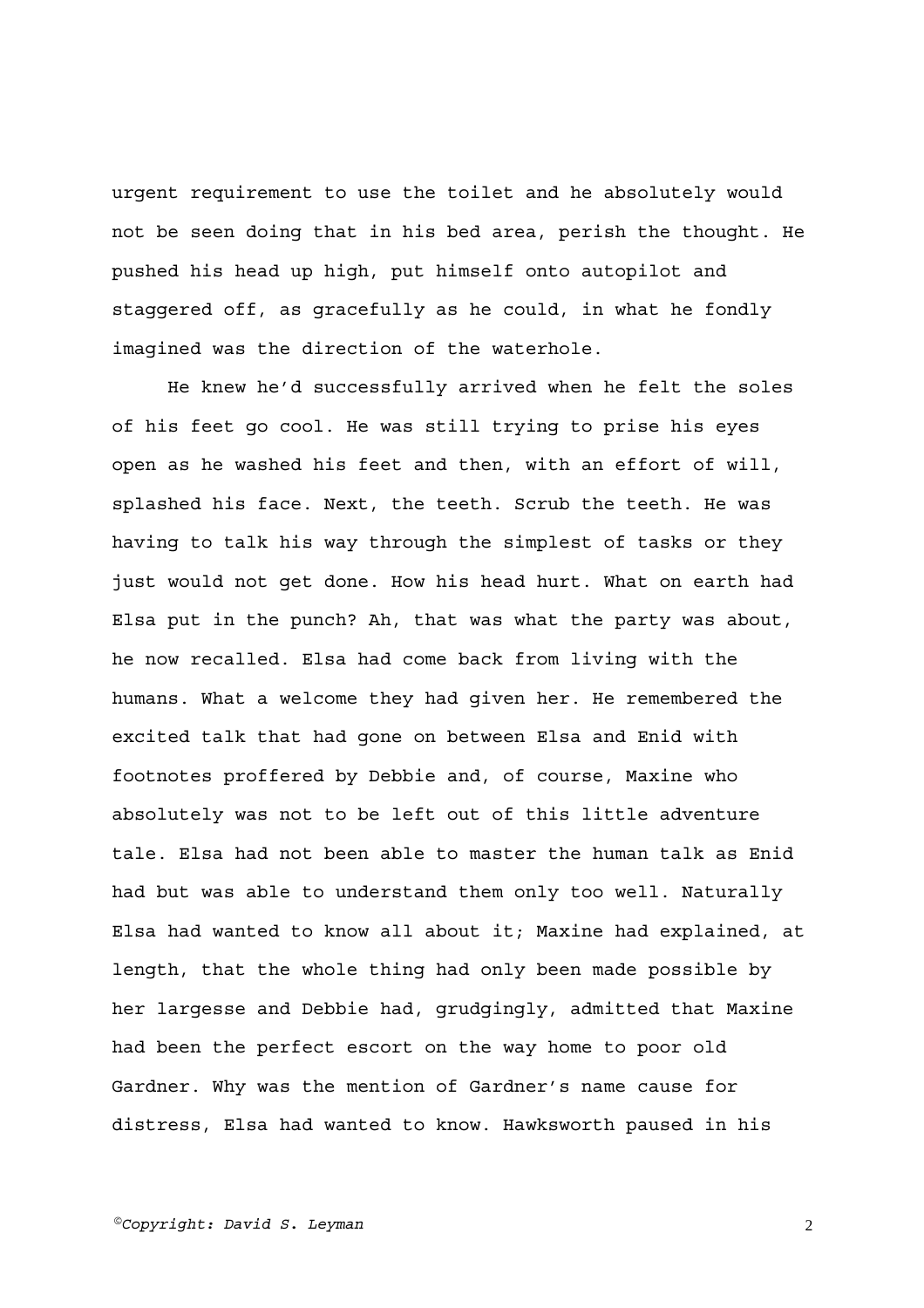urgent requirement to use the toilet and he absolutely would not be seen doing that in his bed area, perish the thought. He pushed his head up high, put himself onto autopilot and staggered off, as gracefully as he could, in what he fondly imagined was the direction of the waterhole.

He knew he'd successfully arrived when he felt the soles of his feet go cool. He was still trying to prise his eyes open as he washed his feet and then, with an effort of will, splashed his face. Next, the teeth. Scrub the teeth. He was having to talk his way through the simplest of tasks or they just would not get done. How his head hurt. What on earth had Elsa put in the punch? Ah, that was what the party was about, he now recalled. Elsa had come back from living with the humans. What a welcome they had given her. He remembered the excited talk that had gone on between Elsa and Enid with footnotes proffered by Debbie and, of course, Maxine who absolutely was not to be left out of this little adventure tale. Elsa had not been able to master the human talk as Enid had but was able to understand them only too well. Naturally Elsa had wanted to know all about it; Maxine had explained, at length, that the whole thing had only been made possible by her largesse and Debbie had, grudgingly, admitted that Maxine had been the perfect escort on the way home to poor old Gardner. Why was the mention of Gardner's name cause for distress, Elsa had wanted to know. Hawksworth paused in his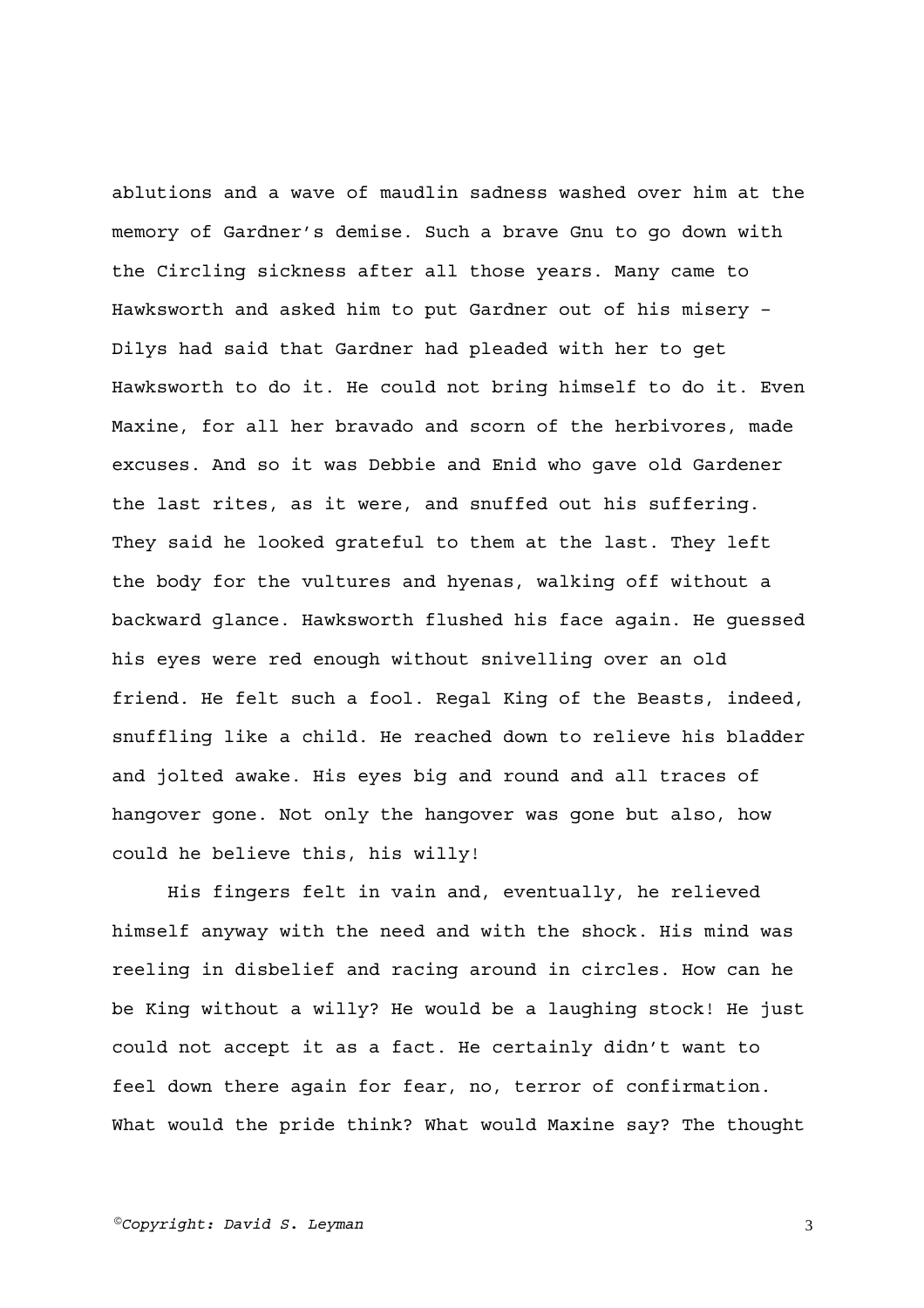ablutions and a wave of maudlin sadness washed over him at the memory of Gardner's demise. Such a brave Gnu to go down with the Circling sickness after all those years. Many came to Hawksworth and asked him to put Gardner out of his misery – Dilys had said that Gardner had pleaded with her to get Hawksworth to do it. He could not bring himself to do it. Even Maxine, for all her bravado and scorn of the herbivores, made excuses. And so it was Debbie and Enid who gave old Gardener the last rites, as it were, and snuffed out his suffering. They said he looked grateful to them at the last. They left the body for the vultures and hyenas, walking off without a backward glance. Hawksworth flushed his face again. He guessed his eyes were red enough without snivelling over an old friend. He felt such a fool. Regal King of the Beasts, indeed, snuffling like a child. He reached down to relieve his bladder and jolted awake. His eyes big and round and all traces of hangover gone. Not only the hangover was gone but also, how could he believe this, his willy!

His fingers felt in vain and, eventually, he relieved himself anyway with the need and with the shock. His mind was reeling in disbelief and racing around in circles. How can he be King without a willy? He would be a laughing stock! He just could not accept it as a fact. He certainly didn't want to feel down there again for fear, no, terror of confirmation. What would the pride think? What would Maxine say? The thought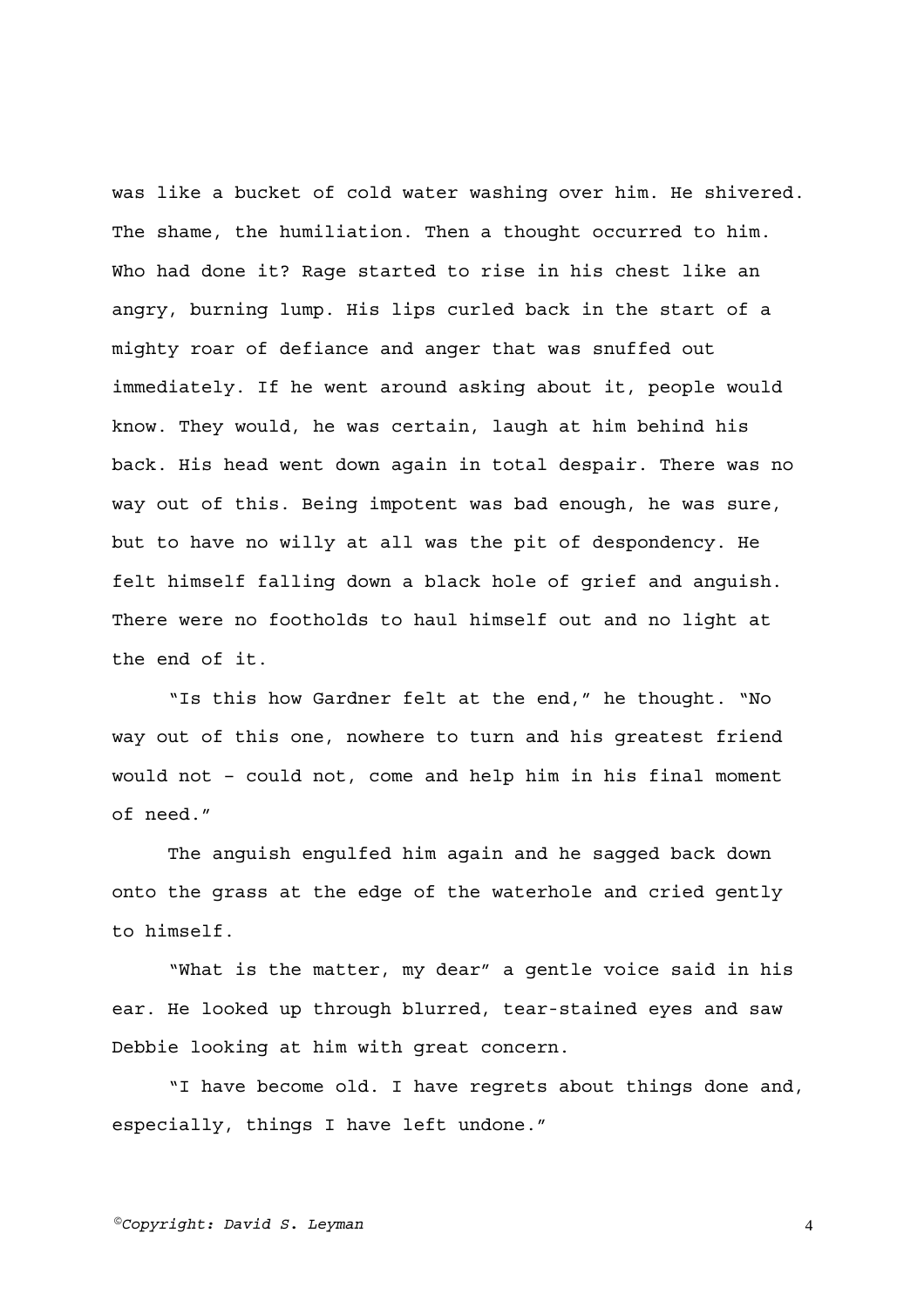was like a bucket of cold water washing over him. He shivered. The shame, the humiliation. Then a thought occurred to him. Who had done it? Rage started to rise in his chest like an angry, burning lump. His lips curled back in the start of a mighty roar of defiance and anger that was snuffed out immediately. If he went around asking about it, people would know. They would, he was certain, laugh at him behind his back. His head went down again in total despair. There was no way out of this. Being impotent was bad enough, he was sure, but to have no willy at all was the pit of despondency. He felt himself falling down a black hole of grief and anguish. There were no footholds to haul himself out and no light at the end of it.

"Is this how Gardner felt at the end," he thought. "No way out of this one, nowhere to turn and his greatest friend would not – could not, come and help him in his final moment of need."

The anguish engulfed him again and he sagged back down onto the grass at the edge of the waterhole and cried gently to himself.

"What is the matter, my dear" a gentle voice said in his ear. He looked up through blurred, tear-stained eyes and saw Debbie looking at him with great concern.

"I have become old. I have regrets about things done and, especially, things I have left undone."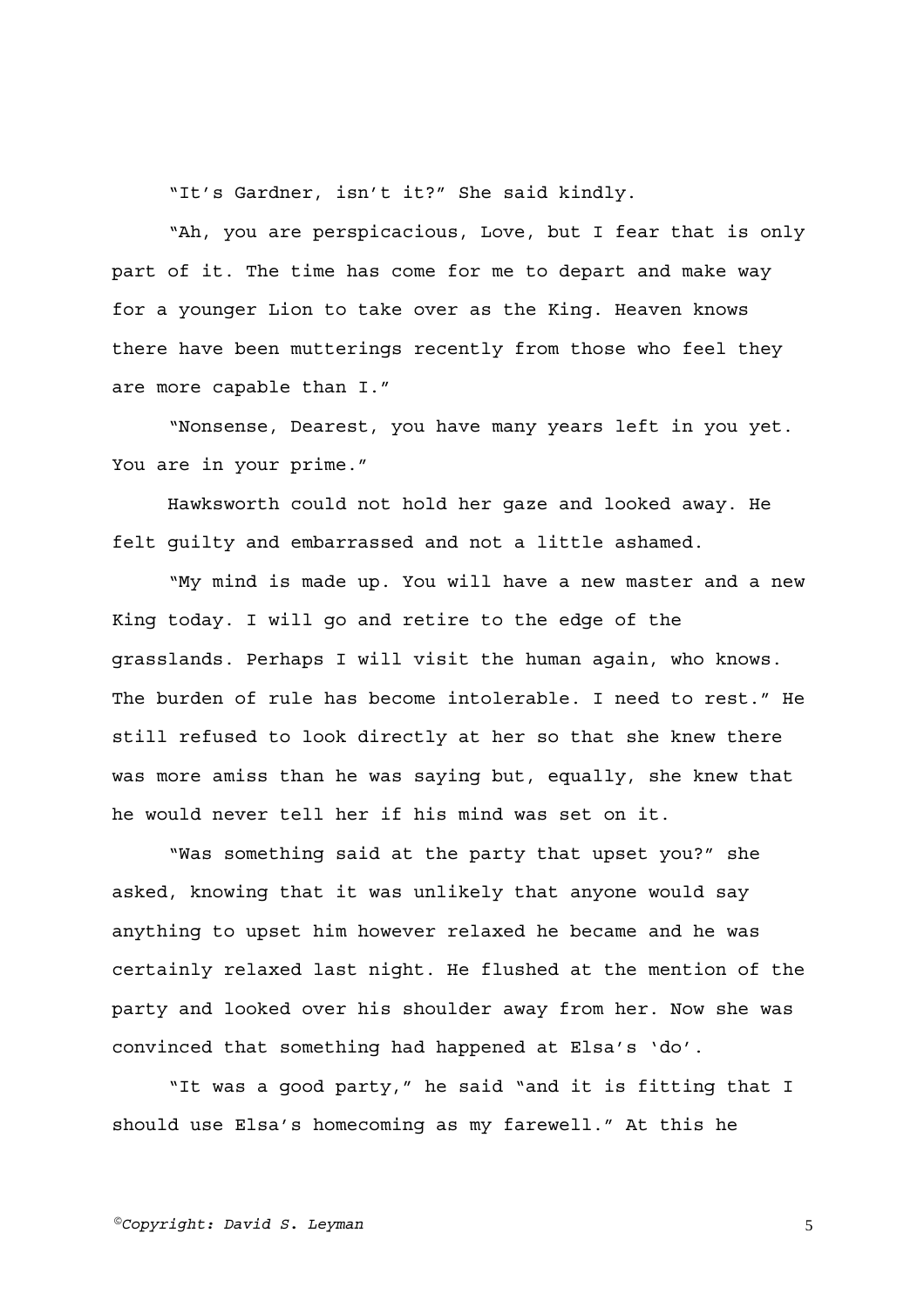"It's Gardner, isn't it?" She said kindly.

"Ah, you are perspicacious, Love, but I fear that is only part of it. The time has come for me to depart and make way for a younger Lion to take over as the King. Heaven knows there have been mutterings recently from those who feel they are more capable than I."

"Nonsense, Dearest, you have many years left in you yet. You are in your prime."

Hawksworth could not hold her gaze and looked away. He felt guilty and embarrassed and not a little ashamed.

"My mind is made up. You will have a new master and a new King today. I will go and retire to the edge of the grasslands. Perhaps I will visit the human again, who knows. The burden of rule has become intolerable. I need to rest." He still refused to look directly at her so that she knew there was more amiss than he was saying but, equally, she knew that he would never tell her if his mind was set on it.

"Was something said at the party that upset you?" she asked, knowing that it was unlikely that anyone would say anything to upset him however relaxed he became and he was certainly relaxed last night. He flushed at the mention of the party and looked over his shoulder away from her. Now she was convinced that something had happened at Elsa's 'do'.

"It was a good party," he said "and it is fitting that I should use Elsa's homecoming as my farewell." At this he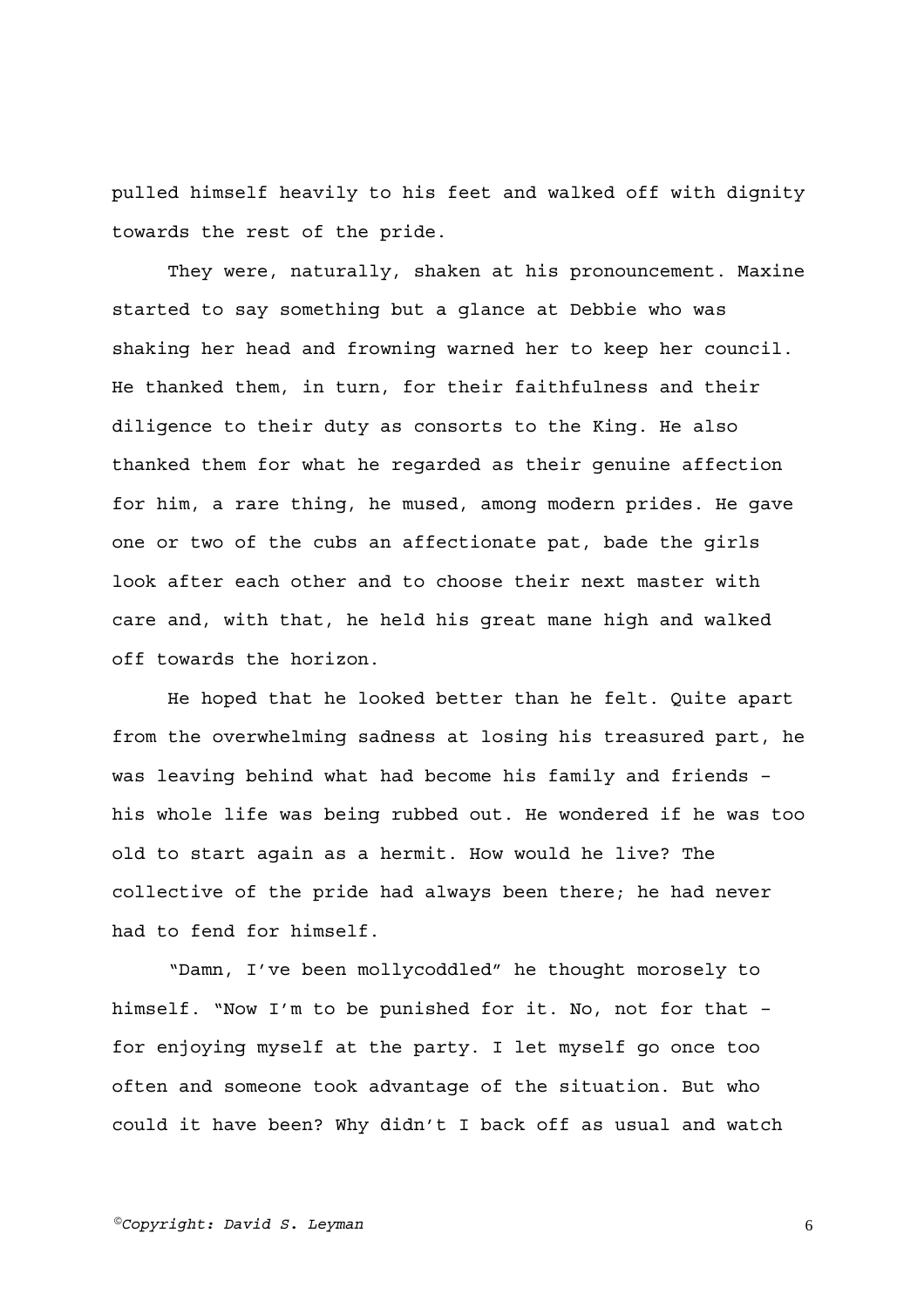pulled himself heavily to his feet and walked off with dignity towards the rest of the pride.

They were, naturally, shaken at his pronouncement. Maxine started to say something but a glance at Debbie who was shaking her head and frowning warned her to keep her council. He thanked them, in turn, for their faithfulness and their diligence to their duty as consorts to the King. He also thanked them for what he regarded as their genuine affection for him, a rare thing, he mused, among modern prides. He gave one or two of the cubs an affectionate pat, bade the girls look after each other and to choose their next master with care and, with that, he held his great mane high and walked off towards the horizon.

He hoped that he looked better than he felt. Quite apart from the overwhelming sadness at losing his treasured part, he was leaving behind what had become his family and friends – his whole life was being rubbed out. He wondered if he was too old to start again as a hermit. How would he live? The collective of the pride had always been there; he had never had to fend for himself.

"Damn, I've been mollycoddled" he thought morosely to himself. "Now I'm to be punished for it. No, not for that – for enjoying myself at the party. I let myself go once too often and someone took advantage of the situation. But who could it have been? Why didn't I back off as usual and watch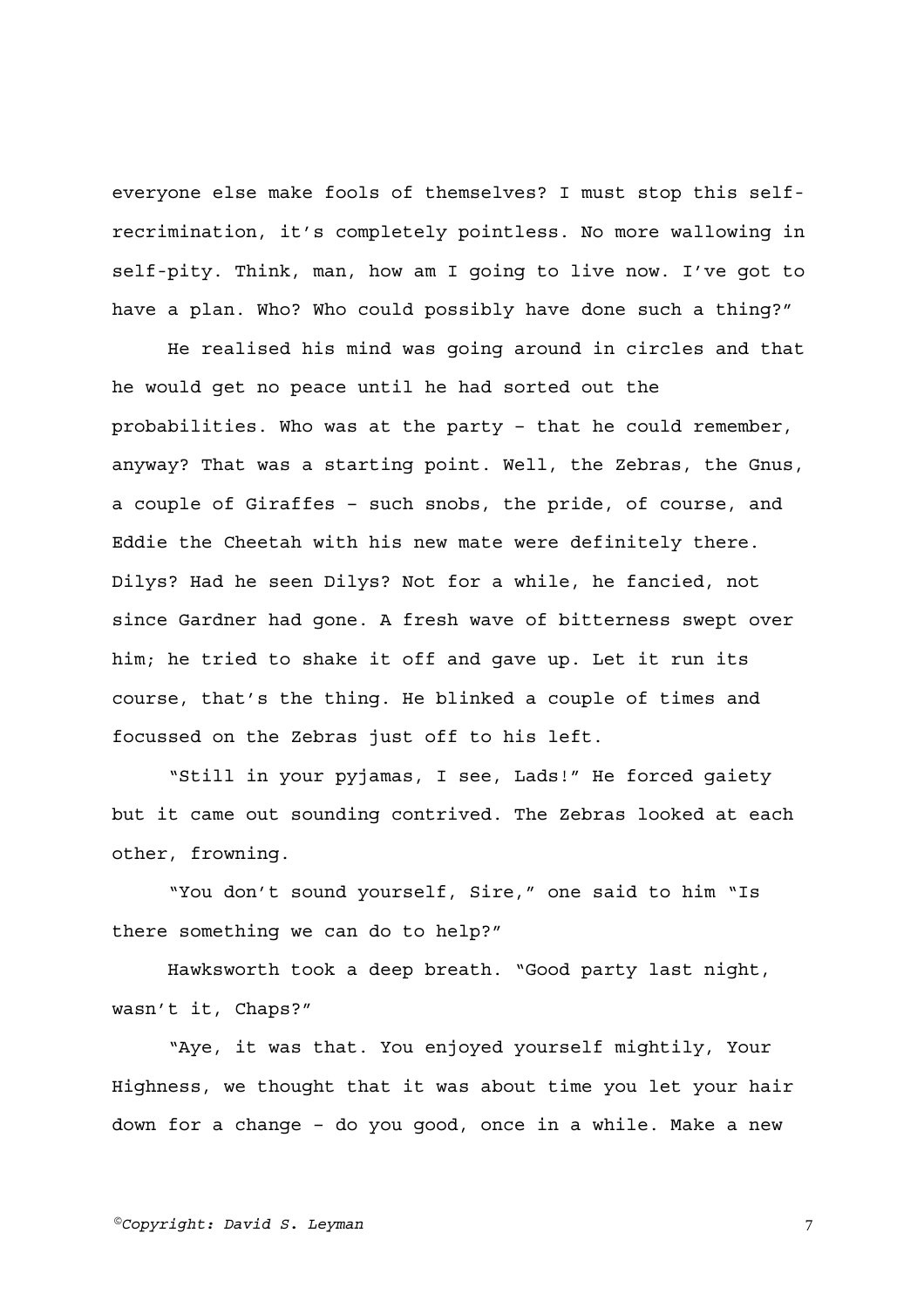everyone else make fools of themselves? I must stop this selfrecrimination, it's completely pointless. No more wallowing in self-pity. Think, man, how am I going to live now. I've got to have a plan. Who? Who could possibly have done such a thing?"

He realised his mind was going around in circles and that he would get no peace until he had sorted out the probabilities. Who was at the party – that he could remember, anyway? That was a starting point. Well, the Zebras, the Gnus, a couple of Giraffes – such snobs, the pride, of course, and Eddie the Cheetah with his new mate were definitely there. Dilys? Had he seen Dilys? Not for a while, he fancied, not since Gardner had gone. A fresh wave of bitterness swept over him; he tried to shake it off and gave up. Let it run its course, that's the thing. He blinked a couple of times and focussed on the Zebras just off to his left.

"Still in your pyjamas, I see, Lads!" He forced gaiety but it came out sounding contrived. The Zebras looked at each other, frowning.

"You don't sound yourself, Sire," one said to him "Is there something we can do to help?"

Hawksworth took a deep breath. "Good party last night, wasn't it, Chaps?"

"Aye, it was that. You enjoyed yourself mightily, Your Highness, we thought that it was about time you let your hair down for a change – do you good, once in a while. Make a new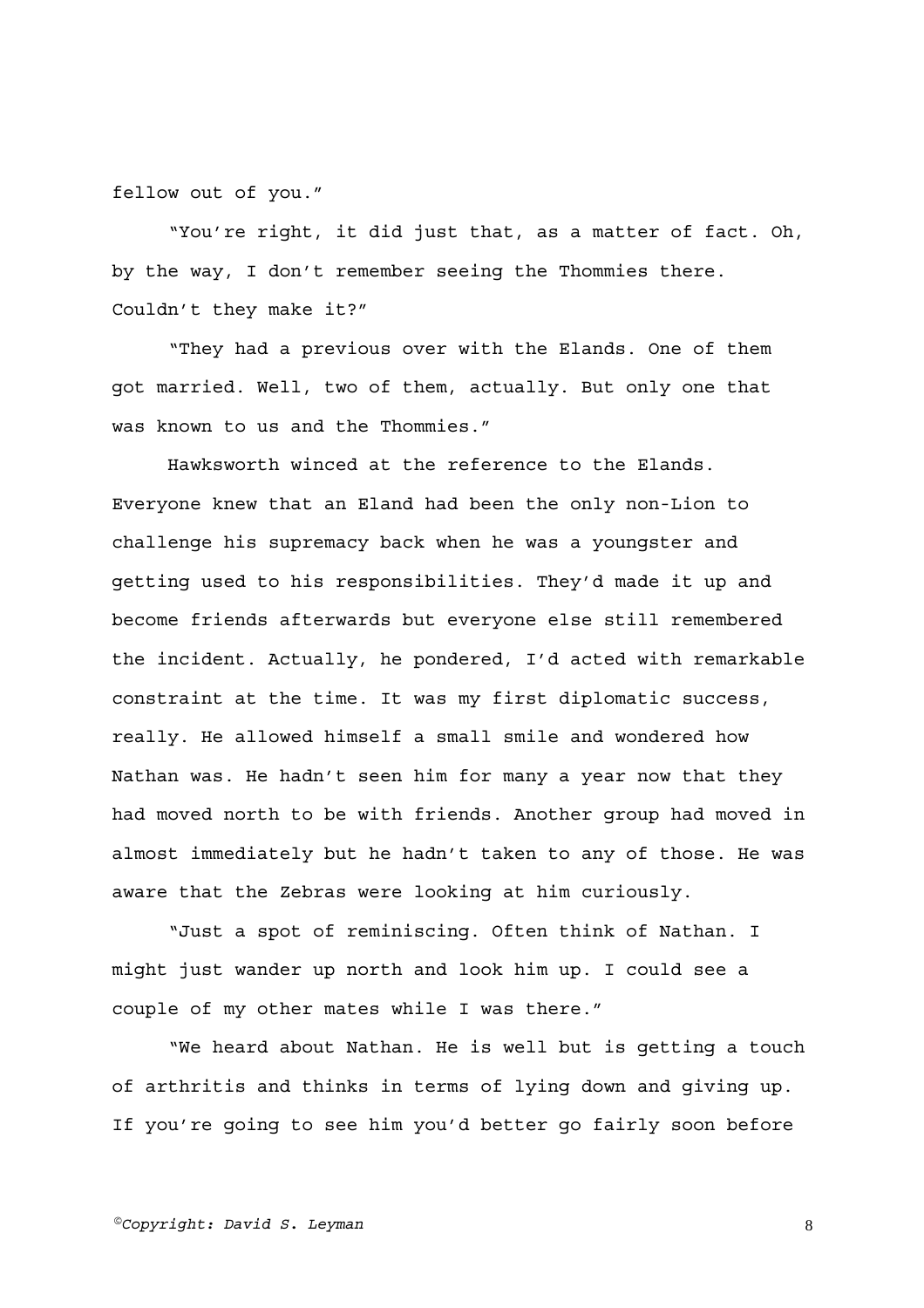fellow out of you."

"You're right, it did just that, as a matter of fact. Oh, by the way, I don't remember seeing the Thommies there. Couldn't they make it?"

"They had a previous over with the Elands. One of them got married. Well, two of them, actually. But only one that was known to us and the Thommies."

Hawksworth winced at the reference to the Elands. Everyone knew that an Eland had been the only non-Lion to challenge his supremacy back when he was a youngster and getting used to his responsibilities. They'd made it up and become friends afterwards but everyone else still remembered the incident. Actually, he pondered, I'd acted with remarkable constraint at the time. It was my first diplomatic success, really. He allowed himself a small smile and wondered how Nathan was. He hadn't seen him for many a year now that they had moved north to be with friends. Another group had moved in almost immediately but he hadn't taken to any of those. He was aware that the Zebras were looking at him curiously.

"Just a spot of reminiscing. Often think of Nathan. I might just wander up north and look him up. I could see a couple of my other mates while I was there."

"We heard about Nathan. He is well but is getting a touch of arthritis and thinks in terms of lying down and giving up. If you're going to see him you'd better go fairly soon before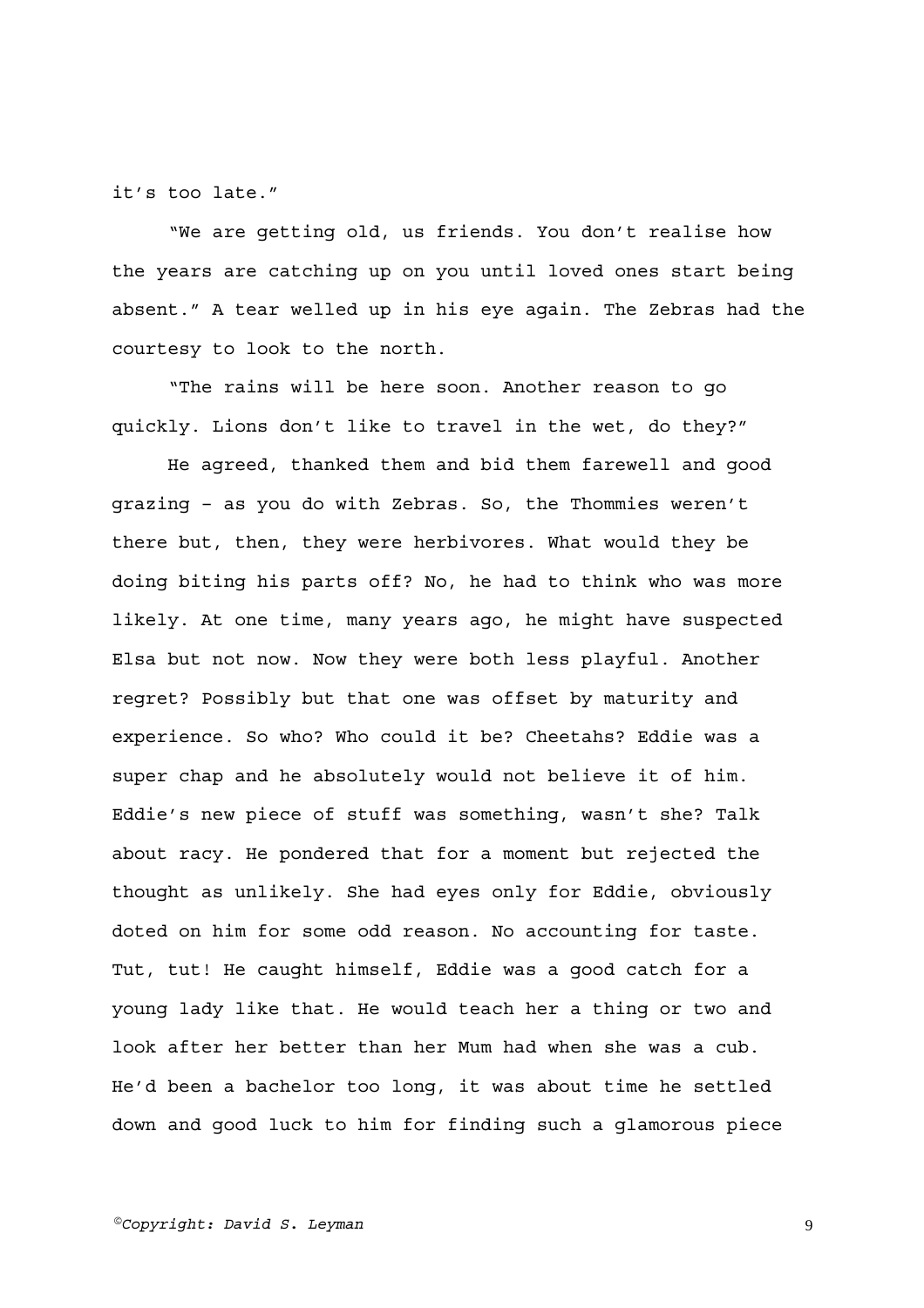it's too late."

"We are getting old, us friends. You don't realise how the years are catching up on you until loved ones start being absent." A tear welled up in his eye again. The Zebras had the courtesy to look to the north.

"The rains will be here soon. Another reason to go quickly. Lions don't like to travel in the wet, do they?"

He agreed, thanked them and bid them farewell and good grazing – as you do with Zebras. So, the Thommies weren't there but, then, they were herbivores. What would they be doing biting his parts off? No, he had to think who was more likely. At one time, many years ago, he might have suspected Elsa but not now. Now they were both less playful. Another regret? Possibly but that one was offset by maturity and experience. So who? Who could it be? Cheetahs? Eddie was a super chap and he absolutely would not believe it of him. Eddie's new piece of stuff was something, wasn't she? Talk about racy. He pondered that for a moment but rejected the thought as unlikely. She had eyes only for Eddie, obviously doted on him for some odd reason. No accounting for taste. Tut, tut! He caught himself, Eddie was a good catch for a young lady like that. He would teach her a thing or two and look after her better than her Mum had when she was a cub. He'd been a bachelor too long, it was about time he settled down and good luck to him for finding such a glamorous piece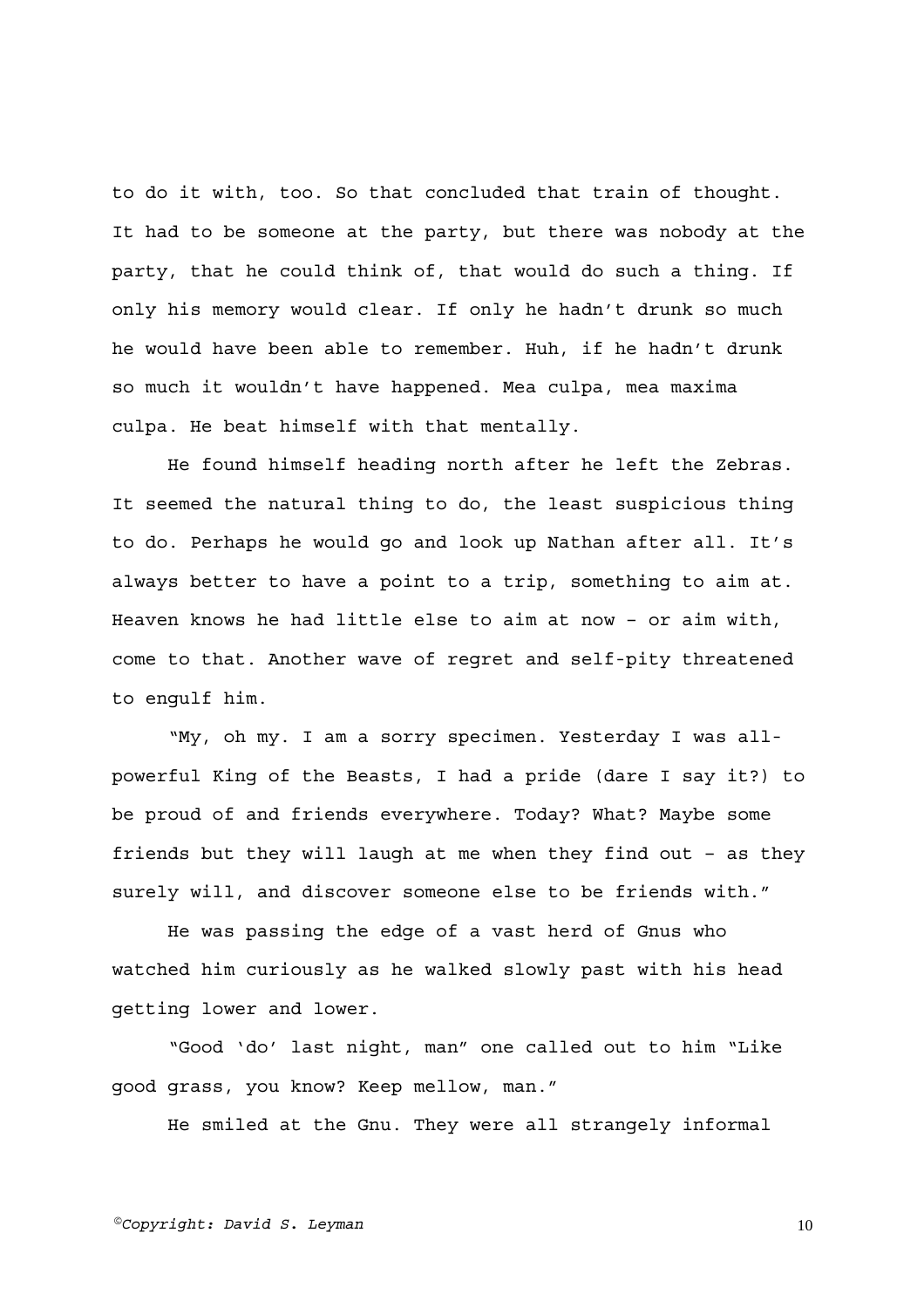to do it with, too. So that concluded that train of thought. It had to be someone at the party, but there was nobody at the party, that he could think of, that would do such a thing. If only his memory would clear. If only he hadn't drunk so much he would have been able to remember. Huh, if he hadn't drunk so much it wouldn't have happened. Mea culpa, mea maxima culpa. He beat himself with that mentally.

He found himself heading north after he left the Zebras. It seemed the natural thing to do, the least suspicious thing to do. Perhaps he would go and look up Nathan after all. It's always better to have a point to a trip, something to aim at. Heaven knows he had little else to aim at now – or aim with, come to that. Another wave of regret and self-pity threatened to engulf him.

"My, oh my. I am a sorry specimen. Yesterday I was allpowerful King of the Beasts, I had a pride (dare I say it?) to be proud of and friends everywhere. Today? What? Maybe some friends but they will laugh at me when they find out – as they surely will, and discover someone else to be friends with."

He was passing the edge of a vast herd of Gnus who watched him curiously as he walked slowly past with his head getting lower and lower.

"Good 'do' last night, man" one called out to him "Like good grass, you know? Keep mellow, man."

He smiled at the Gnu. They were all strangely informal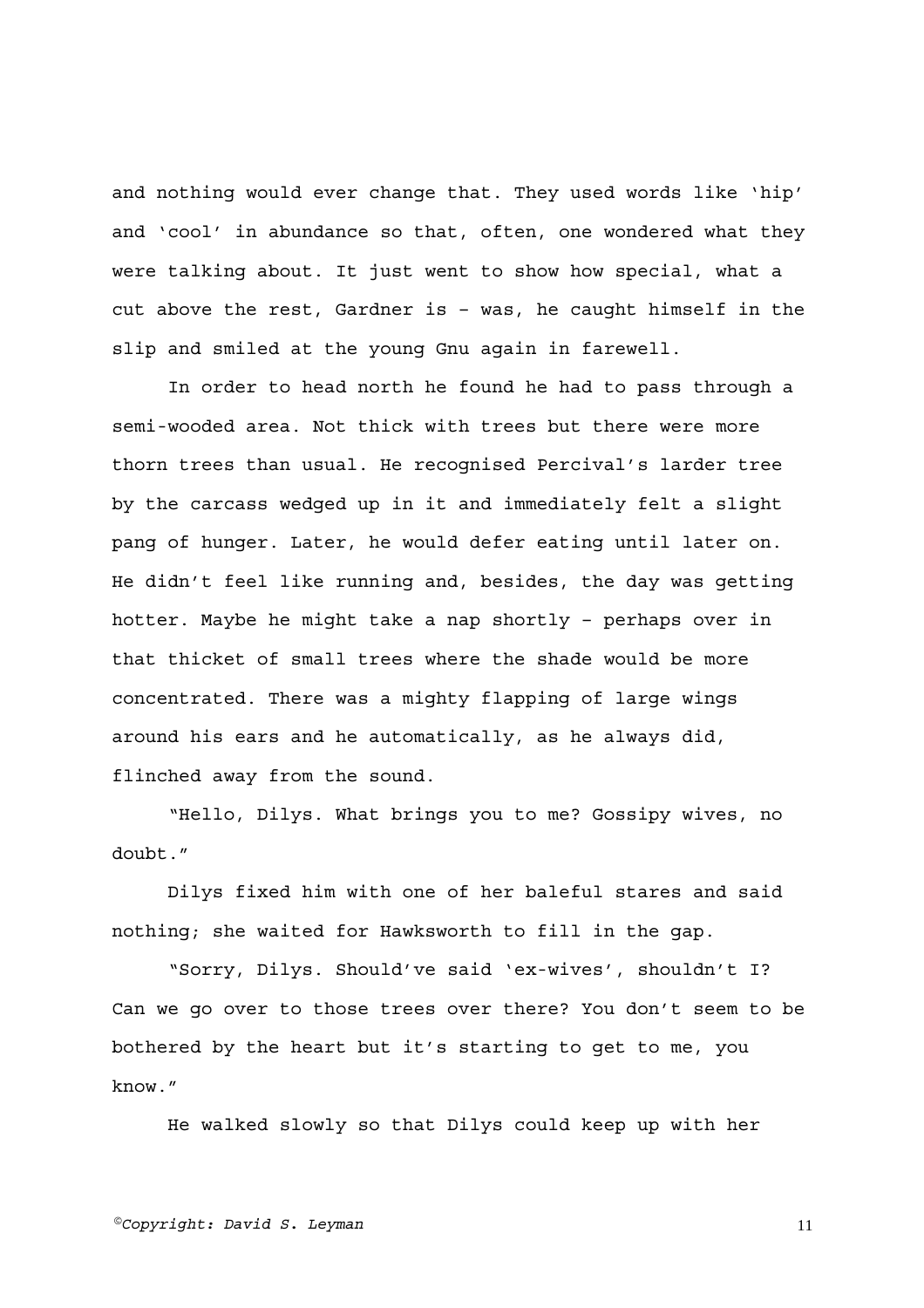and nothing would ever change that. They used words like 'hip' and 'cool' in abundance so that, often, one wondered what they were talking about. It just went to show how special, what a cut above the rest, Gardner is – was, he caught himself in the slip and smiled at the young Gnu again in farewell.

In order to head north he found he had to pass through a semi-wooded area. Not thick with trees but there were more thorn trees than usual. He recognised Percival's larder tree by the carcass wedged up in it and immediately felt a slight pang of hunger. Later, he would defer eating until later on. He didn't feel like running and, besides, the day was getting hotter. Maybe he might take a nap shortly – perhaps over in that thicket of small trees where the shade would be more concentrated. There was a mighty flapping of large wings around his ears and he automatically, as he always did, flinched away from the sound.

"Hello, Dilys. What brings you to me? Gossipy wives, no doubt."

Dilys fixed him with one of her baleful stares and said nothing; she waited for Hawksworth to fill in the gap.

"Sorry, Dilys. Should've said 'ex-wives', shouldn't I? Can we go over to those trees over there? You don't seem to be bothered by the heart but it's starting to get to me, you know."

He walked slowly so that Dilys could keep up with her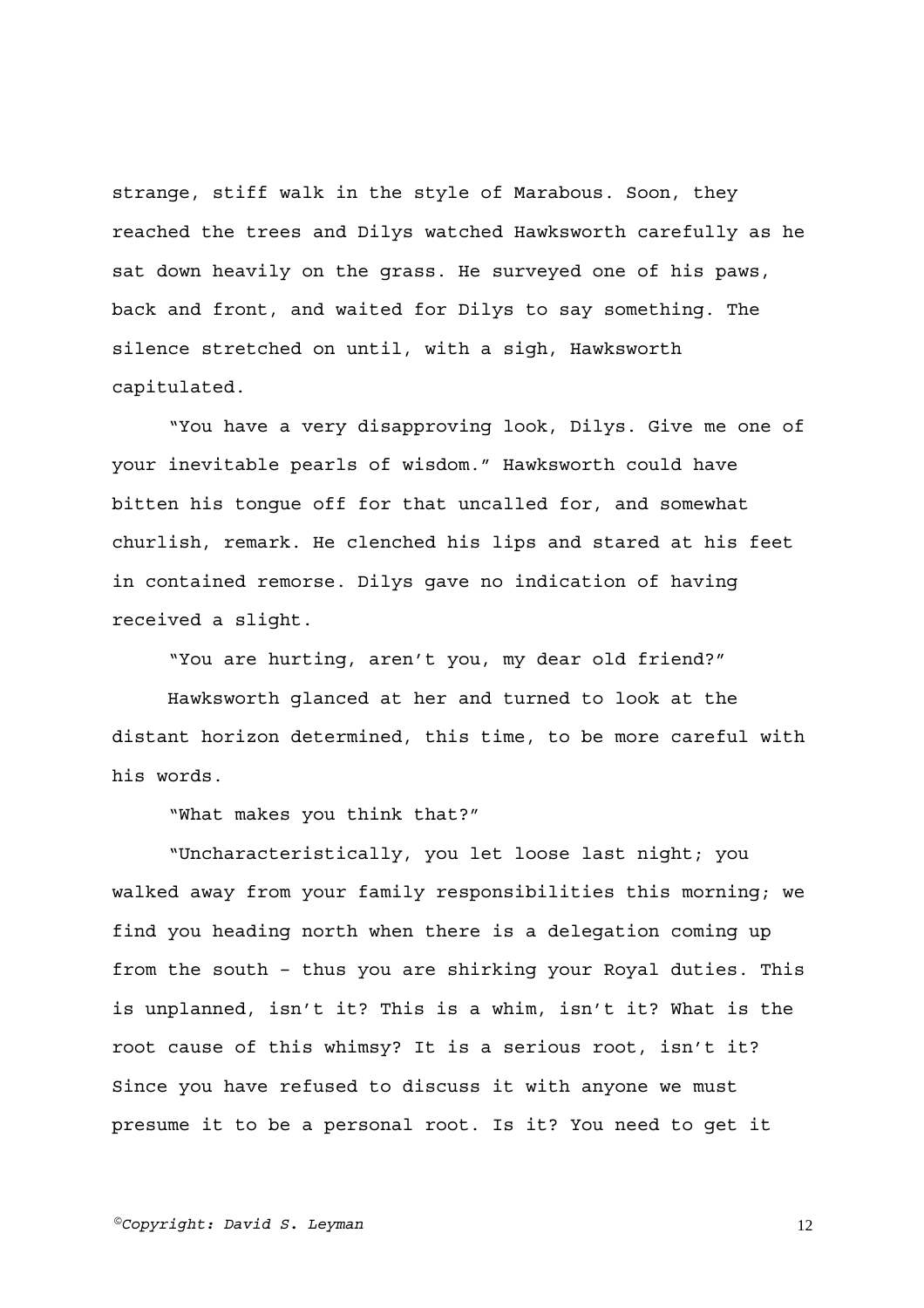strange, stiff walk in the style of Marabous. Soon, they reached the trees and Dilys watched Hawksworth carefully as he sat down heavily on the grass. He surveyed one of his paws, back and front, and waited for Dilys to say something. The silence stretched on until, with a sigh, Hawksworth capitulated.

"You have a very disapproving look, Dilys. Give me one of your inevitable pearls of wisdom." Hawksworth could have bitten his tongue off for that uncalled for, and somewhat churlish, remark. He clenched his lips and stared at his feet in contained remorse. Dilys gave no indication of having received a slight.

"You are hurting, aren't you, my dear old friend?"

Hawksworth glanced at her and turned to look at the distant horizon determined, this time, to be more careful with his words.

"What makes you think that?"

"Uncharacteristically, you let loose last night; you walked away from your family responsibilities this morning; we find you heading north when there is a delegation coming up from the south – thus you are shirking your Royal duties. This is unplanned, isn't it? This is a whim, isn't it? What is the root cause of this whimsy? It is a serious root, isn't it? Since you have refused to discuss it with anyone we must presume it to be a personal root. Is it? You need to get it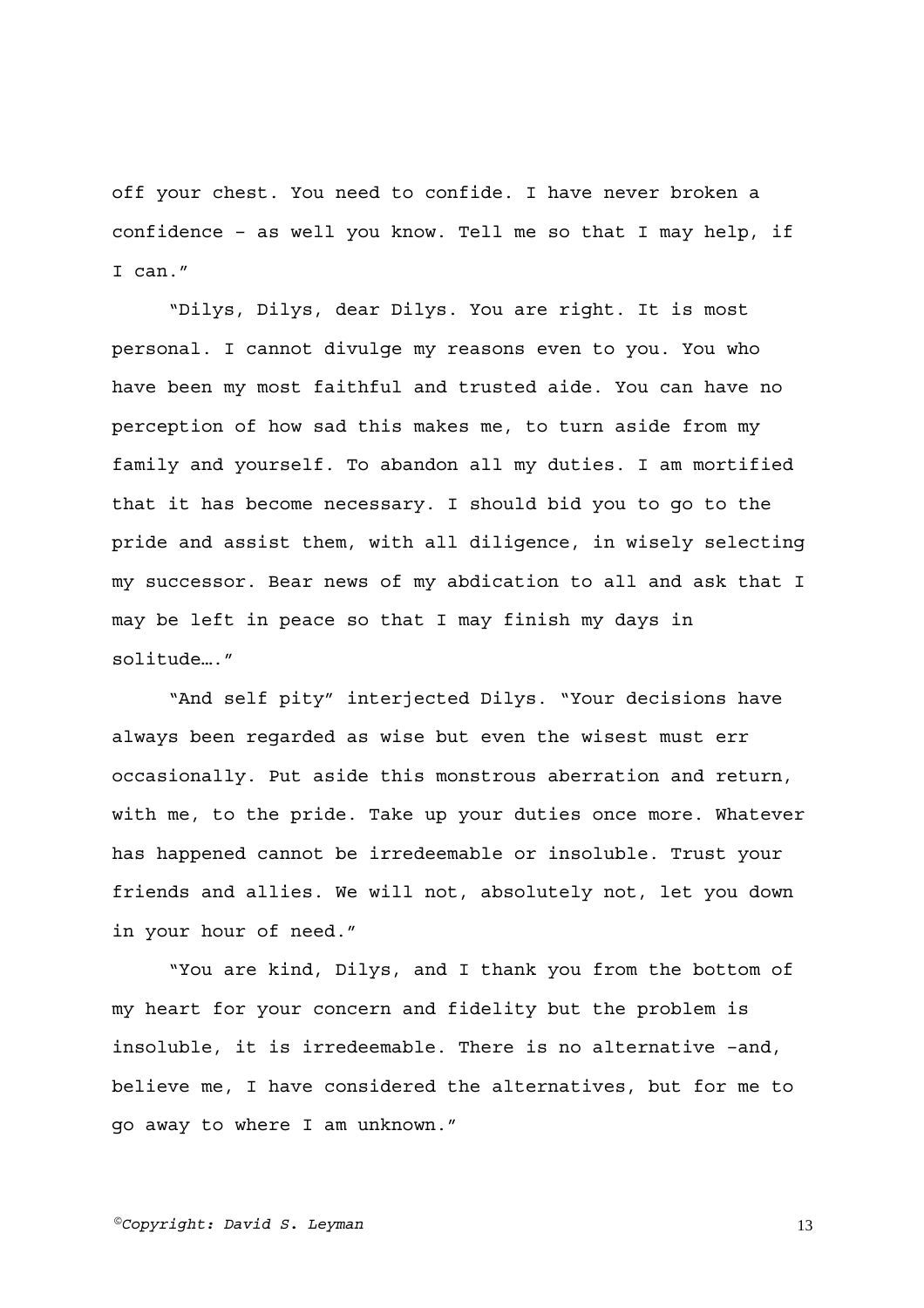off your chest. You need to confide. I have never broken a confidence – as well you know. Tell me so that I may help, if I can."

"Dilys, Dilys, dear Dilys. You are right. It is most personal. I cannot divulge my reasons even to you. You who have been my most faithful and trusted aide. You can have no perception of how sad this makes me, to turn aside from my family and yourself. To abandon all my duties. I am mortified that it has become necessary. I should bid you to go to the pride and assist them, with all diligence, in wisely selecting my successor. Bear news of my abdication to all and ask that I may be left in peace so that I may finish my days in solitude…."

"And self pity" interjected Dilys. "Your decisions have always been regarded as wise but even the wisest must err occasionally. Put aside this monstrous aberration and return, with me, to the pride. Take up your duties once more. Whatever has happened cannot be irredeemable or insoluble. Trust your friends and allies. We will not, absolutely not, let you down in your hour of need."

"You are kind, Dilys, and I thank you from the bottom of my heart for your concern and fidelity but the problem is insoluble, it is irredeemable. There is no alternative –and, believe me, I have considered the alternatives, but for me to go away to where I am unknown."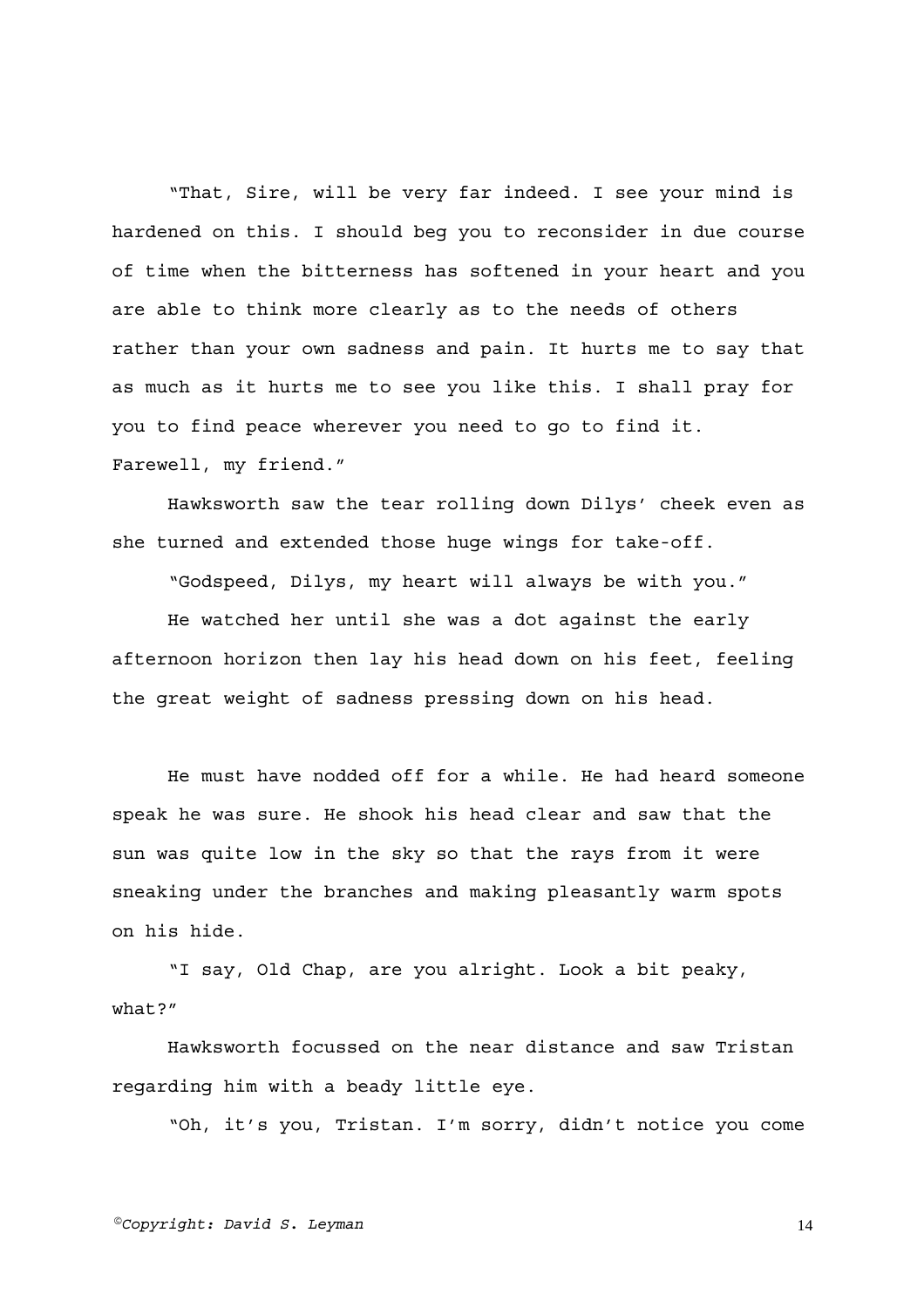"That, Sire, will be very far indeed. I see your mind is hardened on this. I should beg you to reconsider in due course of time when the bitterness has softened in your heart and you are able to think more clearly as to the needs of others rather than your own sadness and pain. It hurts me to say that as much as it hurts me to see you like this. I shall pray for you to find peace wherever you need to go to find it. Farewell, my friend."

Hawksworth saw the tear rolling down Dilys' cheek even as she turned and extended those huge wings for take-off.

"Godspeed, Dilys, my heart will always be with you."

He watched her until she was a dot against the early afternoon horizon then lay his head down on his feet, feeling the great weight of sadness pressing down on his head.

He must have nodded off for a while. He had heard someone speak he was sure. He shook his head clear and saw that the sun was quite low in the sky so that the rays from it were sneaking under the branches and making pleasantly warm spots on his hide.

"I say, Old Chap, are you alright. Look a bit peaky, what?"

Hawksworth focussed on the near distance and saw Tristan regarding him with a beady little eye.

"Oh, it's you, Tristan. I'm sorry, didn't notice you come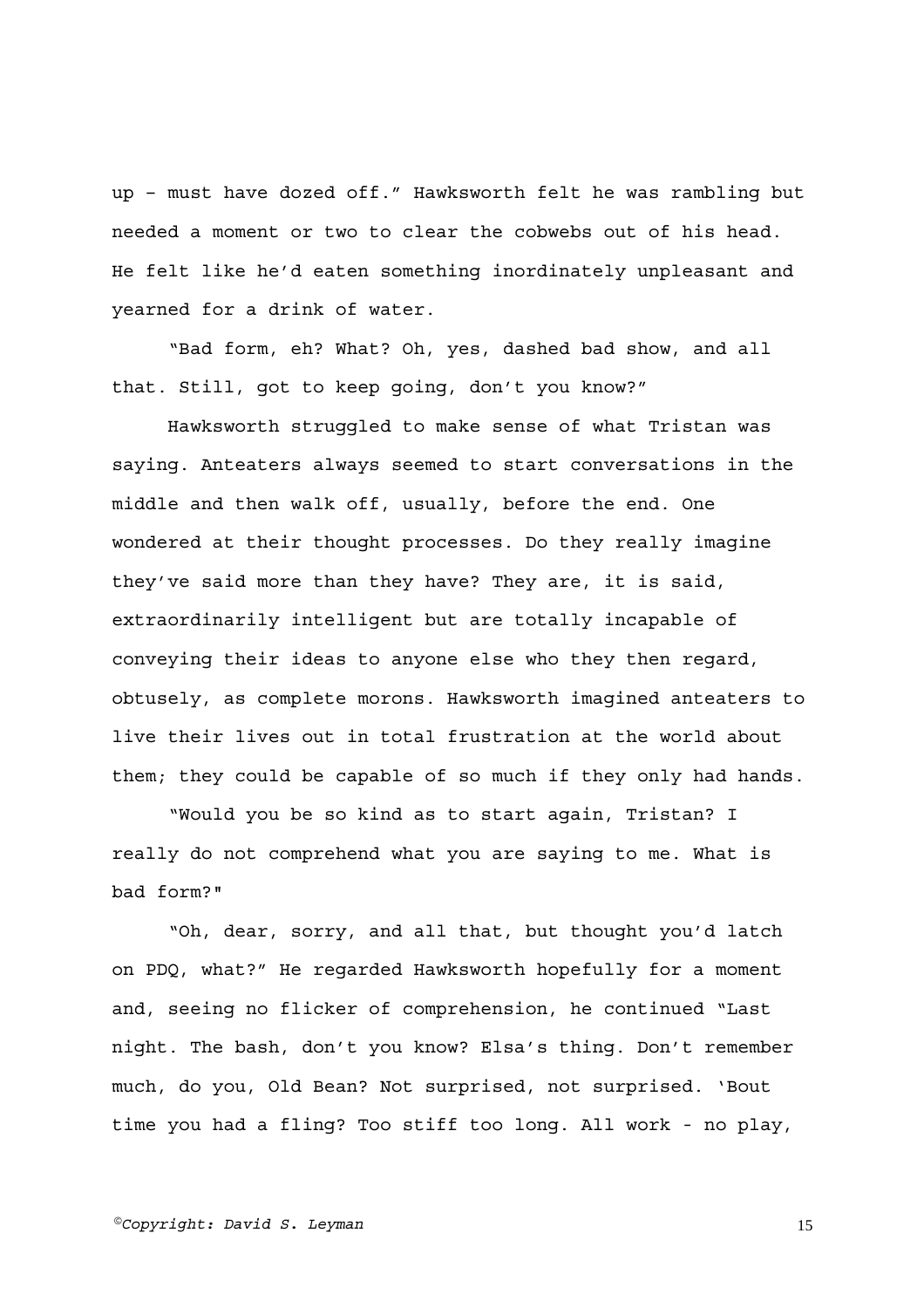up – must have dozed off." Hawksworth felt he was rambling but needed a moment or two to clear the cobwebs out of his head. He felt like he'd eaten something inordinately unpleasant and yearned for a drink of water.

"Bad form, eh? What? Oh, yes, dashed bad show, and all that. Still, got to keep going, don't you know?"

Hawksworth struggled to make sense of what Tristan was saying. Anteaters always seemed to start conversations in the middle and then walk off, usually, before the end. One wondered at their thought processes. Do they really imagine they've said more than they have? They are, it is said, extraordinarily intelligent but are totally incapable of conveying their ideas to anyone else who they then regard, obtusely, as complete morons. Hawksworth imagined anteaters to live their lives out in total frustration at the world about them; they could be capable of so much if they only had hands.

"Would you be so kind as to start again, Tristan? I really do not comprehend what you are saying to me. What is bad form?"

"Oh, dear, sorry, and all that, but thought you'd latch on PDQ, what?" He regarded Hawksworth hopefully for a moment and, seeing no flicker of comprehension, he continued "Last night. The bash, don't you know? Elsa's thing. Don't remember much, do you, Old Bean? Not surprised, not surprised. 'Bout time you had a fling? Too stiff too long. All work - no play,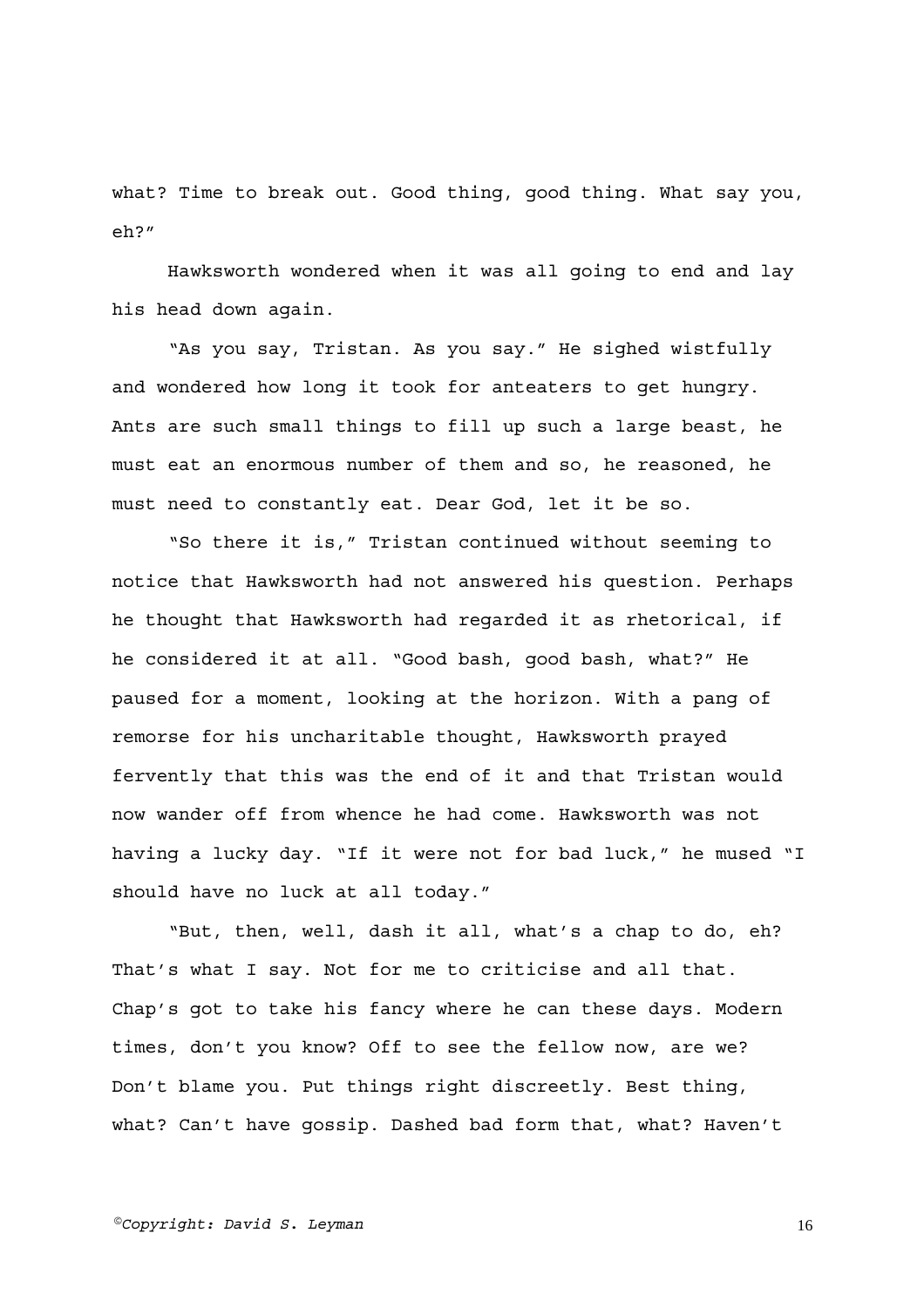what? Time to break out. Good thing, good thing. What say you, eh?"

Hawksworth wondered when it was all going to end and lay his head down again.

"As you say, Tristan. As you say." He sighed wistfully and wondered how long it took for anteaters to get hungry. Ants are such small things to fill up such a large beast, he must eat an enormous number of them and so, he reasoned, he must need to constantly eat. Dear God, let it be so.

"So there it is," Tristan continued without seeming to notice that Hawksworth had not answered his question. Perhaps he thought that Hawksworth had regarded it as rhetorical, if he considered it at all. "Good bash, good bash, what?" He paused for a moment, looking at the horizon. With a pang of remorse for his uncharitable thought, Hawksworth prayed fervently that this was the end of it and that Tristan would now wander off from whence he had come. Hawksworth was not having a lucky day. "If it were not for bad luck," he mused "I should have no luck at all today."

"But, then, well, dash it all, what's a chap to do, eh? That's what I say. Not for me to criticise and all that. Chap's got to take his fancy where he can these days. Modern times, don't you know? Off to see the fellow now, are we? Don't blame you. Put things right discreetly. Best thing, what? Can't have gossip. Dashed bad form that, what? Haven't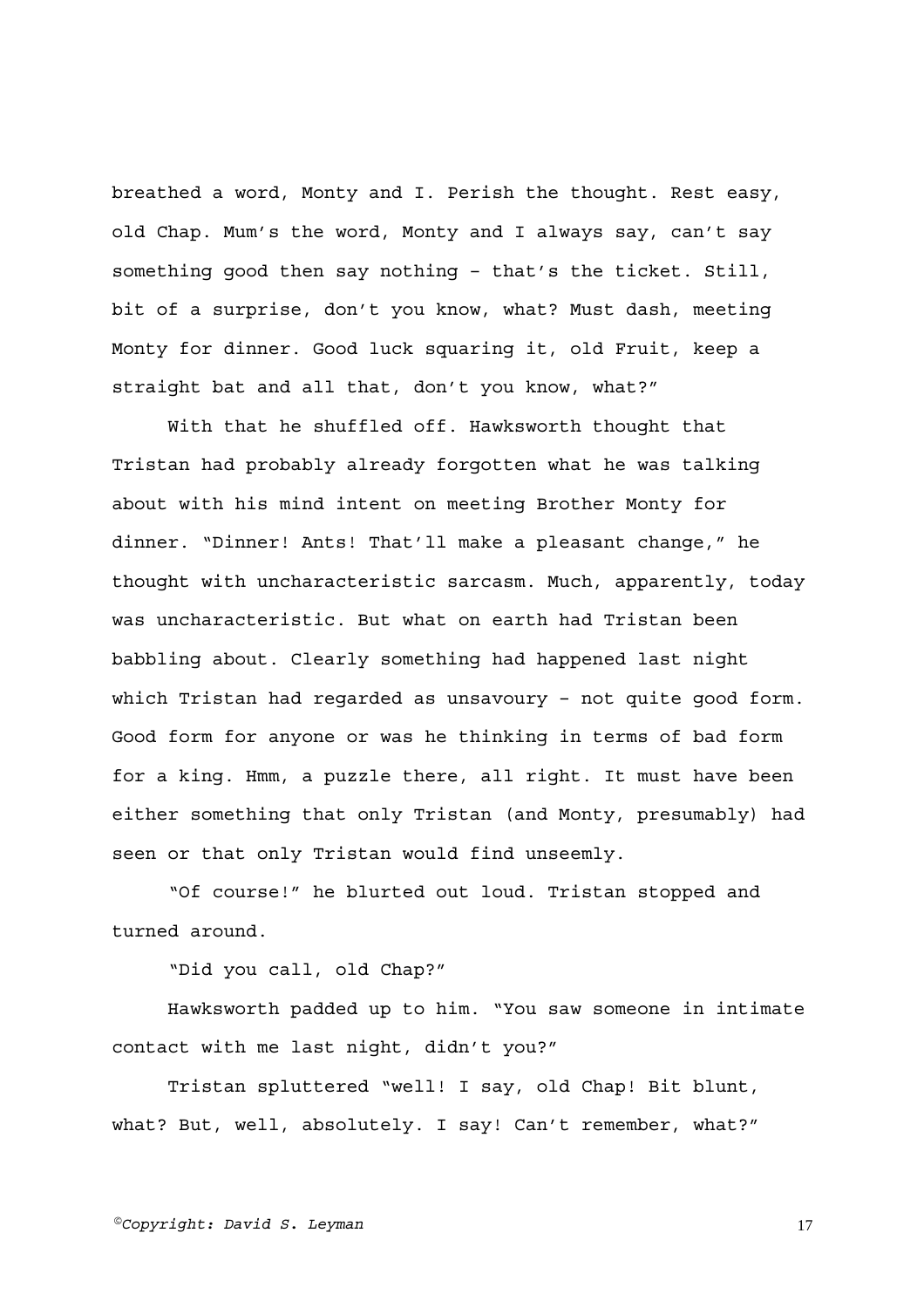breathed a word, Monty and I. Perish the thought. Rest easy, old Chap. Mum's the word, Monty and I always say, can't say something good then say nothing – that's the ticket. Still, bit of a surprise, don't you know, what? Must dash, meeting Monty for dinner. Good luck squaring it, old Fruit, keep a straight bat and all that, don't you know, what?"

With that he shuffled off. Hawksworth thought that Tristan had probably already forgotten what he was talking about with his mind intent on meeting Brother Monty for dinner. "Dinner! Ants! That'll make a pleasant change," he thought with uncharacteristic sarcasm. Much, apparently, today was uncharacteristic. But what on earth had Tristan been babbling about. Clearly something had happened last night which Tristan had regarded as unsavoury – not quite good form. Good form for anyone or was he thinking in terms of bad form for a king. Hmm, a puzzle there, all right. It must have been either something that only Tristan (and Monty, presumably) had seen or that only Tristan would find unseemly.

"Of course!" he blurted out loud. Tristan stopped and turned around.

"Did you call, old Chap?"

Hawksworth padded up to him. "You saw someone in intimate contact with me last night, didn't you?"

Tristan spluttered "well! I say, old Chap! Bit blunt, what? But, well, absolutely. I say! Can't remember, what?"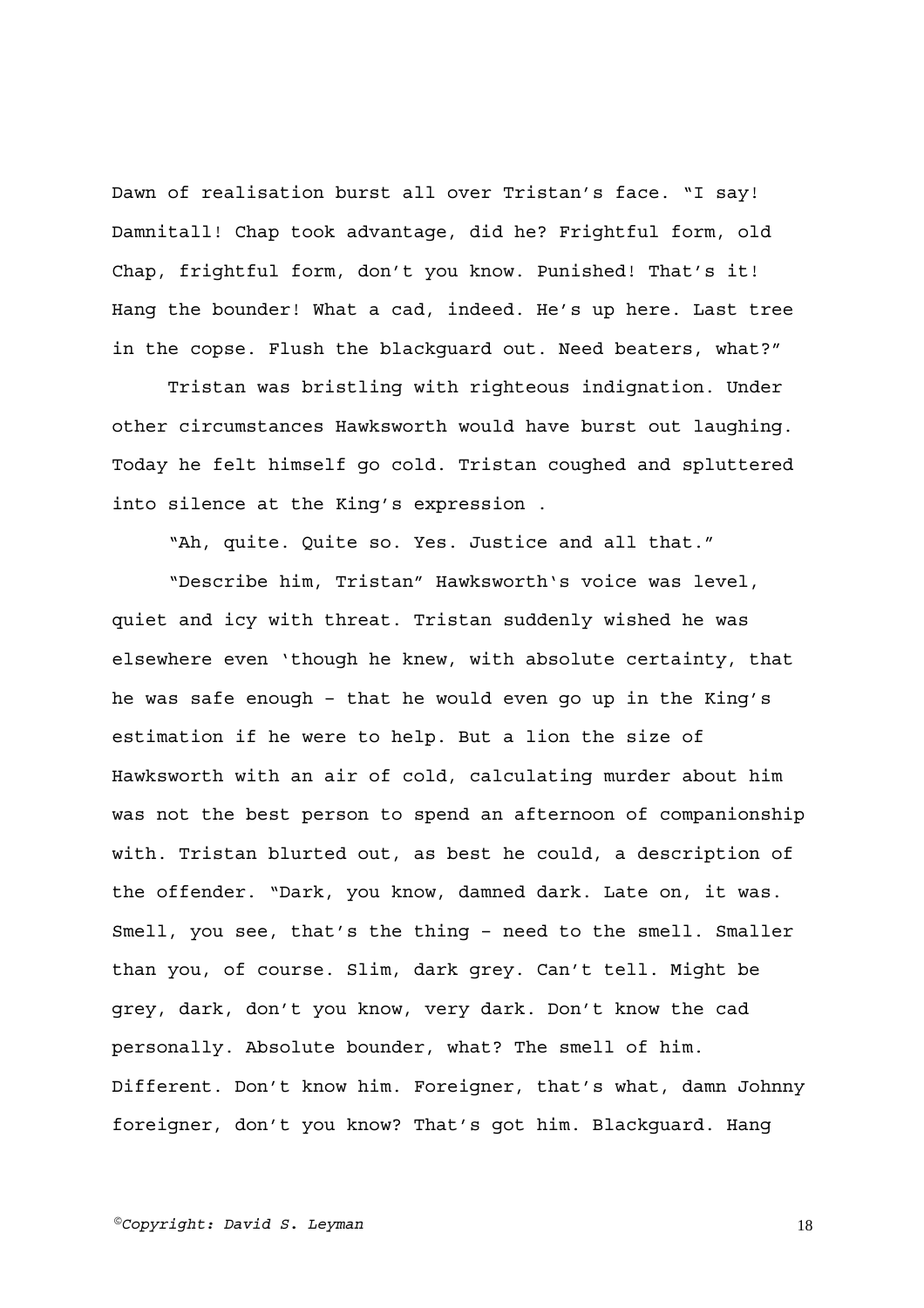Dawn of realisation burst all over Tristan's face. "I say! Damnitall! Chap took advantage, did he? Frightful form, old Chap, frightful form, don't you know. Punished! That's it! Hang the bounder! What a cad, indeed. He's up here. Last tree in the copse. Flush the blackguard out. Need beaters, what?"

Tristan was bristling with righteous indignation. Under other circumstances Hawksworth would have burst out laughing. Today he felt himself go cold. Tristan coughed and spluttered into silence at the King's expression .

"Ah, quite. Quite so. Yes. Justice and all that."

"Describe him, Tristan" Hawksworth's voice was level, quiet and icy with threat. Tristan suddenly wished he was elsewhere even 'though he knew, with absolute certainty, that he was safe enough – that he would even go up in the King's estimation if he were to help. But a lion the size of Hawksworth with an air of cold, calculating murder about him was not the best person to spend an afternoon of companionship with. Tristan blurted out, as best he could, a description of the offender. "Dark, you know, damned dark. Late on, it was. Smell, you see, that's the thing – need to the smell. Smaller than you, of course. Slim, dark grey. Can't tell. Might be grey, dark, don't you know, very dark. Don't know the cad personally. Absolute bounder, what? The smell of him. Different. Don't know him. Foreigner, that's what, damn Johnny foreigner, don't you know? That's got him. Blackguard. Hang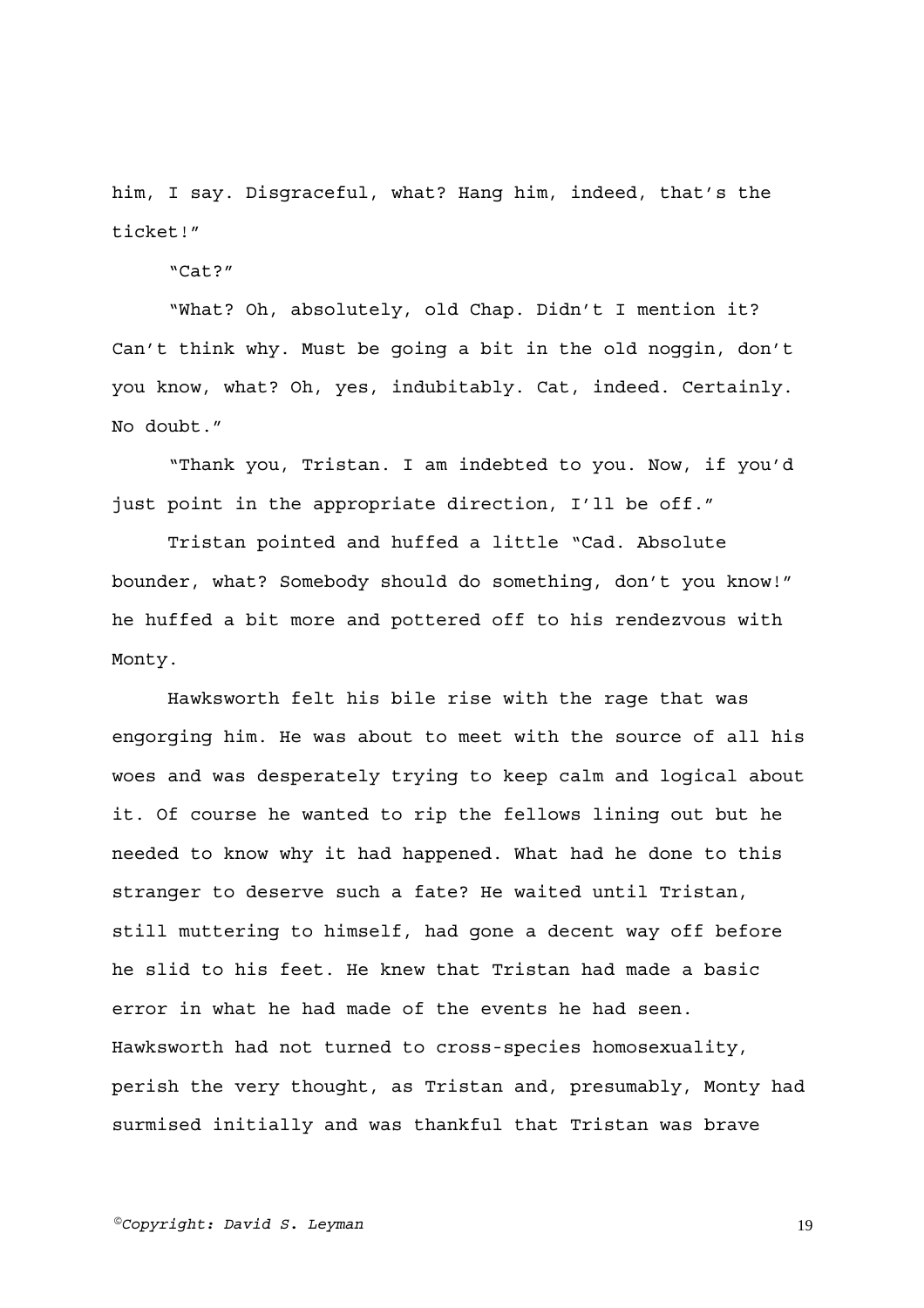him, I say. Disgraceful, what? Hang him, indeed, that's the ticket!"

"Cat?"

"What? Oh, absolutely, old Chap. Didn't I mention it? Can't think why. Must be going a bit in the old noggin, don't you know, what? Oh, yes, indubitably. Cat, indeed. Certainly. No doubt."

"Thank you, Tristan. I am indebted to you. Now, if you'd just point in the appropriate direction, I'll be off."

Tristan pointed and huffed a little "Cad. Absolute bounder, what? Somebody should do something, don't you know!" he huffed a bit more and pottered off to his rendezvous with Monty.

Hawksworth felt his bile rise with the rage that was engorging him. He was about to meet with the source of all his woes and was desperately trying to keep calm and logical about it. Of course he wanted to rip the fellows lining out but he needed to know why it had happened. What had he done to this stranger to deserve such a fate? He waited until Tristan, still muttering to himself, had gone a decent way off before he slid to his feet. He knew that Tristan had made a basic error in what he had made of the events he had seen. Hawksworth had not turned to cross-species homosexuality, perish the very thought, as Tristan and, presumably, Monty had surmised initially and was thankful that Tristan was brave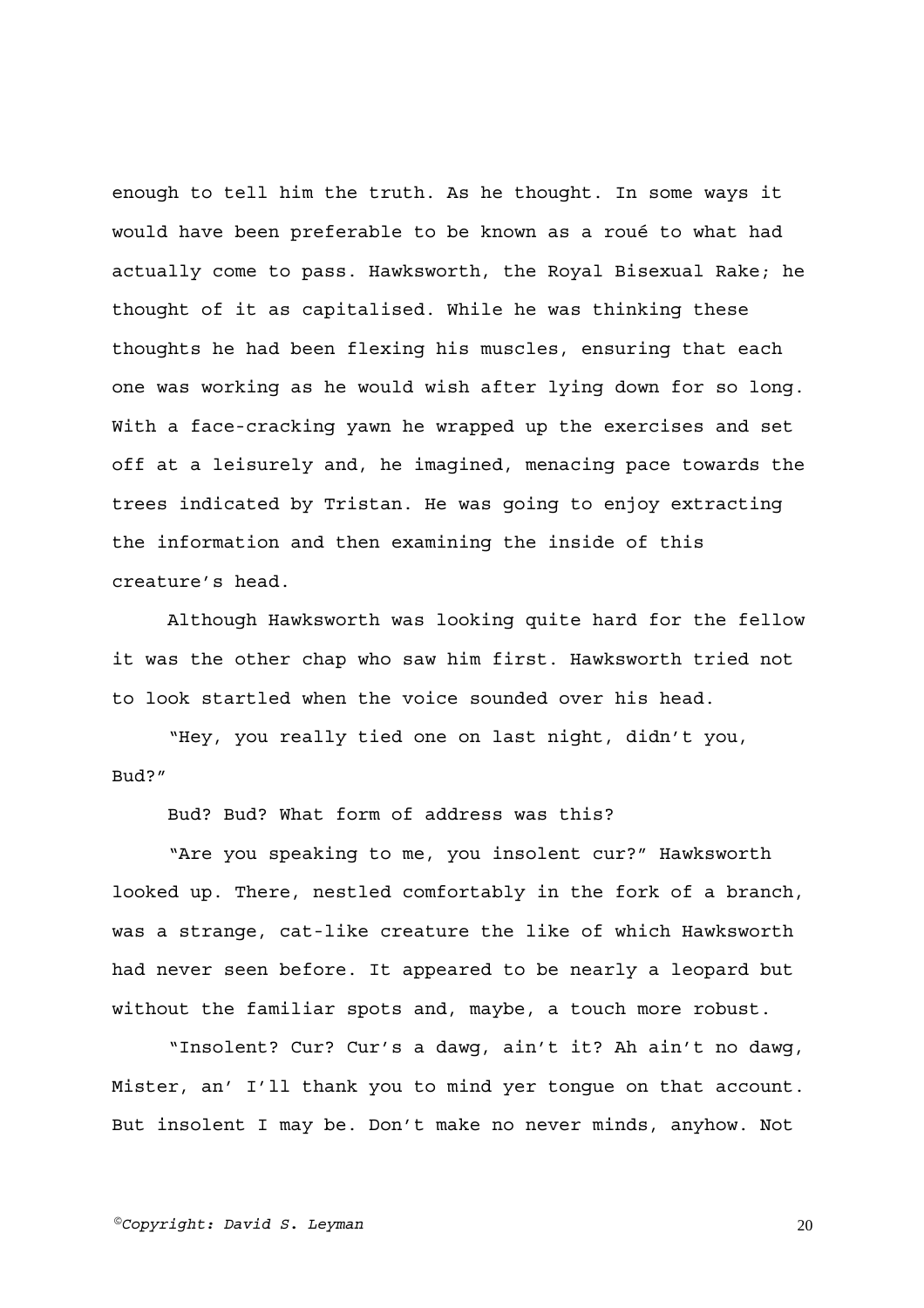enough to tell him the truth. As he thought. In some ways it would have been preferable to be known as a roué to what had actually come to pass. Hawksworth, the Royal Bisexual Rake; he thought of it as capitalised. While he was thinking these thoughts he had been flexing his muscles, ensuring that each one was working as he would wish after lying down for so long. With a face-cracking yawn he wrapped up the exercises and set off at a leisurely and, he imagined, menacing pace towards the trees indicated by Tristan. He was going to enjoy extracting the information and then examining the inside of this creature's head.

Although Hawksworth was looking quite hard for the fellow it was the other chap who saw him first. Hawksworth tried not to look startled when the voice sounded over his head.

"Hey, you really tied one on last night, didn't you, Bud?"

Bud? Bud? What form of address was this?

"Are you speaking to me, you insolent cur?" Hawksworth looked up. There, nestled comfortably in the fork of a branch, was a strange, cat-like creature the like of which Hawksworth had never seen before. It appeared to be nearly a leopard but without the familiar spots and, maybe, a touch more robust.

"Insolent? Cur? Cur's a dawg, ain't it? Ah ain't no dawg, Mister, an' I'll thank you to mind yer tongue on that account. But insolent I may be. Don't make no never minds, anyhow. Not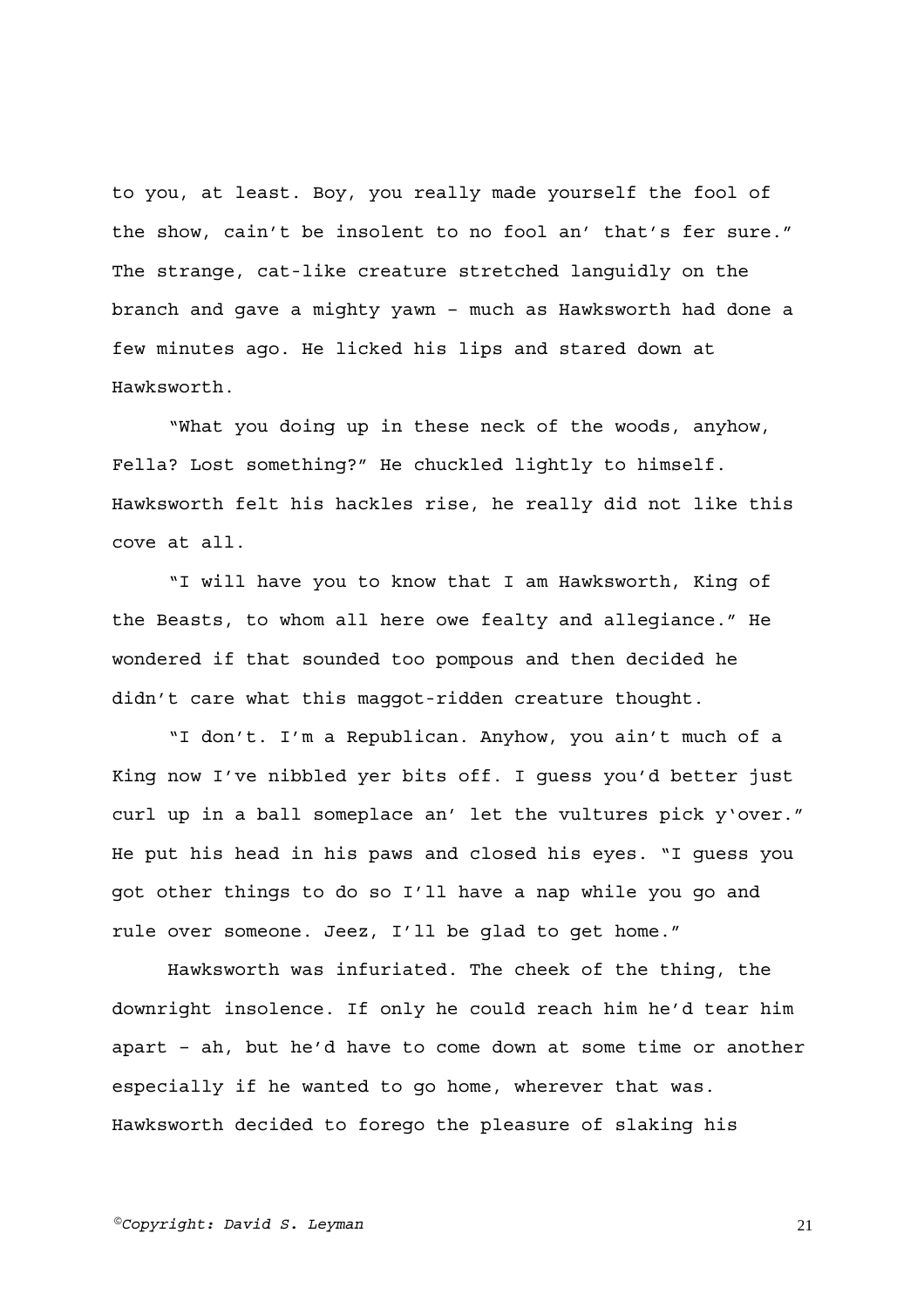to you, at least. Boy, you really made yourself the fool of the show, cain't be insolent to no fool an' that's fer sure." The strange, cat-like creature stretched languidly on the branch and gave a mighty yawn – much as Hawksworth had done a few minutes ago. He licked his lips and stared down at Hawksworth.

"What you doing up in these neck of the woods, anyhow, Fella? Lost something?" He chuckled lightly to himself. Hawksworth felt his hackles rise, he really did not like this cove at all.

"I will have you to know that I am Hawksworth, King of the Beasts, to whom all here owe fealty and allegiance." He wondered if that sounded too pompous and then decided he didn't care what this maggot-ridden creature thought.

"I don't. I'm a Republican. Anyhow, you ain't much of a King now I've nibbled yer bits off. I guess you'd better just curl up in a ball someplace an' let the vultures pick y'over." He put his head in his paws and closed his eyes. "I guess you got other things to do so I'll have a nap while you go and rule over someone. Jeez, I'll be glad to get home."

Hawksworth was infuriated. The cheek of the thing, the downright insolence. If only he could reach him he'd tear him apart – ah, but he'd have to come down at some time or another especially if he wanted to go home, wherever that was. Hawksworth decided to forego the pleasure of slaking his